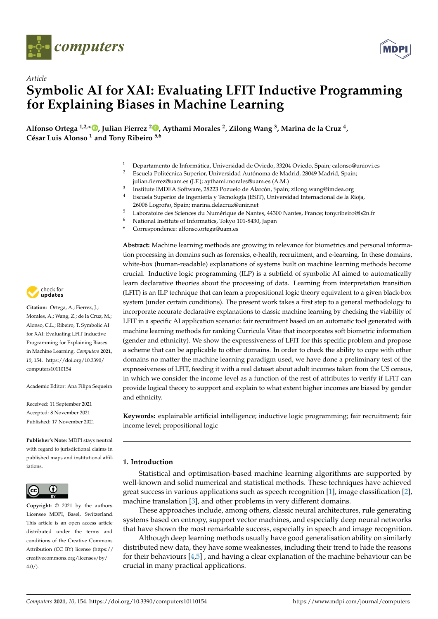

*Article*



# **Symbolic AI for XAI: Evaluating LFIT Inductive Programming for Explaining Biases in Machine Learning**

**Alfonso Ortega 1,2,[\\*](https://orcid.org/0000-0001-7100-1690) , Julian Fierrez <sup>2</sup> [,](https://orcid.org/0000-0002-6343-5656) Aythami Morales <sup>2</sup> , Zilong Wang <sup>3</sup> , Marina de la Cruz <sup>4</sup> , César Luis Alonso <sup>1</sup> and Tony Ribeiro 5,6**

- <sup>1</sup> Departamento de Informática, Universidad de Oviedo, 33204 Oviedo, Spain; calonso@uniovi.es
- <sup>2</sup> Escuela Politécnica Superior, Universidad Autónoma de Madrid, 28049 Madrid, Spain; julian.fierrez@uam.es (J.F.); aythami.morales@uam.es (A.M.)
- <sup>3</sup> Institute IMDEA Software, 28223 Pozuelo de Alarcón, Spain; zilong.wang@imdea.org
- <sup>4</sup> Escuela Superior de Ingeniería y Tecnología (ESIT), Universidad Internacional de la Rioja, 26006 Logroño, Spain; marina.delacruz@unir.net
- <sup>5</sup> Laboratoire des Sciences du Numérique de Nantes, 44300 Nantes, France; tony.ribeiro@ls2n.fr<br><sup>6</sup> National Institute of Information Televa 101, 8420, Japan
- <sup>6</sup> National Institute of Informatics, Tokyo 101-8430, Japan
- **\*** Correspondence: alfonso.ortega@uam.es

**Abstract:** Machine learning methods are growing in relevance for biometrics and personal information processing in domains such as forensics, e-health, recruitment, and e-learning. In these domains, white-box (human-readable) explanations of systems built on machine learning methods become crucial. Inductive logic programming (ILP) is a subfield of symbolic AI aimed to automatically learn declarative theories about the processing of data. Learning from interpretation transition (LFIT) is an ILP technique that can learn a propositional logic theory equivalent to a given black-box system (under certain conditions). The present work takes a first step to a general methodology to incorporate accurate declarative explanations to classic machine learning by checking the viability of LFIT in a specific AI application scenario: fair recruitment based on an automatic tool generated with machine learning methods for ranking Curricula Vitae that incorporates soft biometric information (gender and ethnicity). We show the expressiveness of LFIT for this specific problem and propose a scheme that can be applicable to other domains. In order to check the ability to cope with other domains no matter the machine learning paradigm used, we have done a preliminary test of the expressiveness of LFIT, feeding it with a real dataset about adult incomes taken from the US census, in which we consider the income level as a function of the rest of attributes to verify if LFIT can provide logical theory to support and explain to what extent higher incomes are biased by gender and ethnicity.

**Keywords:** explainable artificial intelligence; inductive logic programming; fair recruitment; fair income level; propositional logic

# **1. Introduction**

Statistical and optimisation-based machine learning algorithms are supported by well-known and solid numerical and statistical methods. These techniques have achieved great success in various applications such as speech recognition [\[1\]](#page-23-0), image classification [\[2\]](#page-23-1), machine translation [\[3\]](#page-23-2), and other problems in very different domains.

These approaches include, among others, classic neural architectures, rule generating systems based on entropy, support vector machines, and especially deep neural networks that have shown the most remarkable success, especially in speech and image recognition.

Although deep learning methods usually have good generalisation ability on similarly distributed new data, they have some weaknesses, including their trend to hide the reasons for their behaviours  $[4,5]$  $[4,5]$ , and having a clear explanation of the machine behaviour can be crucial in many practical applications.



**Citation:** Ortega, A.; Fierrez, J.; Morales, A.; Wang, Z.; de la Cruz, M.; Alonso, C.L.; Ribeiro, T. Symbolic AI for XAI: Evaluating LFIT Inductive Programming for Explaining Biases in Machine Learning. *Computers* **2021**, *10*, 154. [https://doi.org/10.3390/](https://doi.org/10.3390/computers10110154) [computers10110154](https://doi.org/10.3390/computers10110154)

Academic Editor: Ana Filipa Sequeira

Received: 11 September 2021 Accepted: 8 November 2021 Published: 17 November 2021

**Publisher's Note:** MDPI stays neutral with regard to jurisdictional claims in published maps and institutional affiliations.



**Copyright:** © 2021 by the authors. Licensee MDPI, Basel, Switzerland. This article is an open access article distributed under the terms and conditions of the Creative Commons Attribution (CC BY) license (https:/[/](https://creativecommons.org/licenses/by/4.0/) [creativecommons.org/licenses/by/](https://creativecommons.org/licenses/by/4.0/) 4.0/).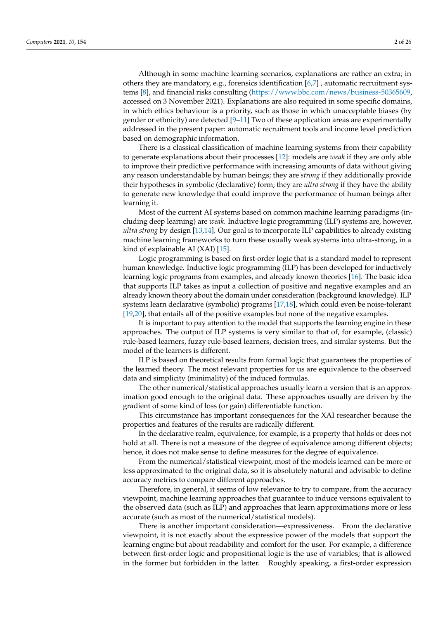Although in some machine learning scenarios, explanations are rather an extra; in others they are mandatory, e.g., forensics identification [\[6,](#page-23-5)[7\]](#page-23-6) , automatic recruitment systems [\[8\]](#page-23-7), and financial risks consulting [\(https://www.bbc.com/news/business-50365609,](https://www.bbc.com/news/business-50365609) accessed on 3 November 2021). Explanations are also required in some specific domains, in which ethics behaviour is a priority, such as those in which unacceptable biases (by gender or ethnicity) are detected [\[9](#page-23-8)[–11\]](#page-23-9) Two of these application areas are experimentally addressed in the present paper: automatic recruitment tools and income level prediction based on demographic information.

There is a classical classification of machine learning systems from their capability to generate explanations about their processes [\[12\]](#page-23-10): models are *weak* if they are only able to improve their predictive performance with increasing amounts of data without giving any reason understandable by human beings; they are *strong* if they additionally provide their hypotheses in symbolic (declarative) form; they are *ultra strong* if they have the ability to generate new knowledge that could improve the performance of human beings after learning it.

Most of the current AI systems based on common machine learning paradigms (including deep learning) are *weak*. Inductive logic programming (ILP) systems are, however, *ultra strong* by design [\[13,](#page-23-11)[14\]](#page-23-12). Our goal is to incorporate ILP capabilities to already existing machine learning frameworks to turn these usually weak systems into ultra-strong, in a kind of explainable AI (XAI) [\[15\]](#page-23-13).

Logic programming is based on first-order logic that is a standard model to represent human knowledge. Inductive logic programming (ILP) has been developed for inductively learning logic programs from examples, and already known theories [\[16\]](#page-23-14). The basic idea that supports ILP takes as input a collection of positive and negative examples and an already known theory about the domain under consideration (background knowledge). ILP systems learn declarative (symbolic) programs [\[17](#page-23-15)[,18\]](#page-23-16), which could even be noise-tolerant [\[19,](#page-23-17)[20\]](#page-23-18), that entails all of the positive examples but none of the negative examples.

It is important to pay attention to the model that supports the learning engine in these approaches. The output of ILP systems is very similar to that of, for example, (classic) rule-based learners, fuzzy rule-based learners, decision trees, and similar systems. But the model of the learners is different.

ILP is based on theoretical results from formal logic that guarantees the properties of the learned theory. The most relevant properties for us are equivalence to the observed data and simplicity (minimality) of the induced formulas.

The other numerical/statistical approaches usually learn a version that is an approximation good enough to the original data. These approaches usually are driven by the gradient of some kind of loss (or gain) differentiable function.

This circumstance has important consequences for the XAI researcher because the properties and features of the results are radically different.

In the declarative realm, equivalence, for example, is a property that holds or does not hold at all. There is not a measure of the degree of equivalence among different objects; hence, it does not make sense to define measures for the degree of equivalence.

From the numerical/statistical viewpoint, most of the models learned can be more or less approximated to the original data, so it is absolutely natural and advisable to define accuracy metrics to compare different approaches.

Therefore, in general, it seems of low relevance to try to compare, from the accuracy viewpoint, machine learning approaches that guarantee to induce versions equivalent to the observed data (such as ILP) and approaches that learn approximations more or less accurate (such as most of the numerical/statistical models).

There is another important consideration—expressiveness. From the declarative viewpoint, it is not exactly about the expressive power of the models that support the learning engine but about readability and comfort for the user. For example, a difference between first-order logic and propositional logic is the use of variables; that is allowed in the former but forbidden in the latter. Roughly speaking, a first-order expression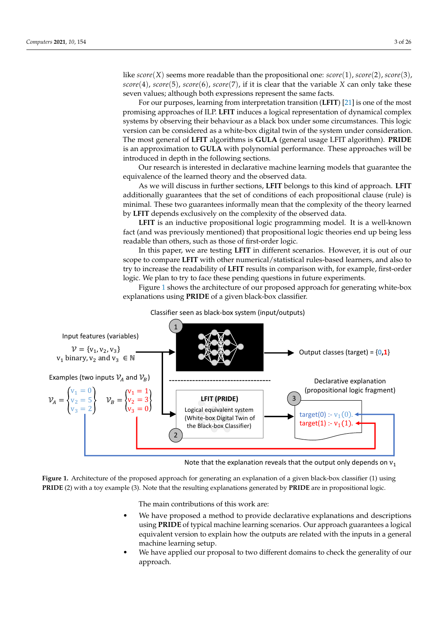like  $score(X)$  seems more readable than the propositional one:  $score(1)$ ,  $score(2)$ ,  $score(3)$ , *score*(4), *score*(5), *score*(6), *score*(7), if it is clear that the variable *X* can only take these seven values; although both expressions represent the same facts.

For our purposes, learning from interpretation transition (**LFIT**) [\[21\]](#page-23-19) is one of the most promising approaches of ILP. **LFIT** induces a logical representation of dynamical complex systems by observing their behaviour as a black box under some circumstances. This logic version can be considered as a white-box digital twin of the system under consideration. The most general of **LFIT** algorithms is **GULA** (general usage LFIT algorithm). **PRIDE** is an approximation to **GULA** with polynomial performance. These approaches will be introduced in depth in the following sections.

Our research is interested in declarative machine learning models that guarantee the equivalence of the learned theory and the observed data.

As we will discuss in further sections, **LFIT** belongs to this kind of approach. **LFIT** additionally guarantees that the set of conditions of each propositional clause (rule) is minimal. These two guarantees informally mean that the complexity of the theory learned by **LFIT** depends exclusively on the complexity of the observed data.

**LFIT** is an inductive propositional logic programming model. It is a well-known fact (and was previously mentioned) that propositional logic theories end up being less readable than others, such as those of first-order logic.

In this paper, we are testing **LFIT** in different scenarios. However, it is out of our scope to compare **LFIT** with other numerical/statistical rules-based learners, and also to try to increase the readability of **LFIT** results in comparison with, for example, first-order logic. We plan to try to face these pending questions in future experiments.

Figure [1](#page-2-0) shows the architecture of our proposed approach for generating white-box explanations using **PRIDE** of a given black-box classifier.

<span id="page-2-0"></span>



Note that the explanation reveals that the output only depends on  $v_1$ 

**Figure 1.** Architecture of the proposed approach for generating an explanation of a given black-box classifier (1) using **PRIDE** (2) with a toy example (3). Note that the resulting explanations generated by **PRIDE** are in propositional logic.

The main contributions of this work are:

- We have proposed a method to provide declarative explanations and descriptions using **PRIDE** of typical machine learning scenarios. Our approach guarantees a logical equivalent version to explain how the outputs are related with the inputs in a general machine learning setup.
- We have applied our proposal to two different domains to check the generality of our approach.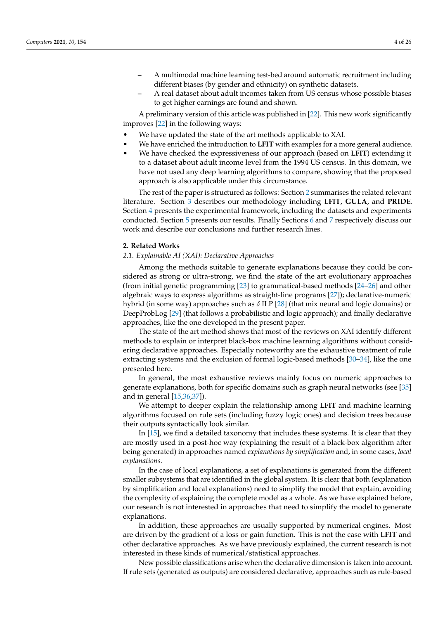- **–** A multimodal machine learning test-bed around automatic recruitment including different biases (by gender and ethnicity) on synthetic datasets.
- **–** A real dataset about adult incomes taken from US census whose possible biases to get higher earnings are found and shown.

A preliminary version of this article was published in [\[22\]](#page-23-20). This new work significantly improves [\[22\]](#page-23-20) in the following ways:

- We have updated the state of the art methods applicable to XAI.
- We have enriched the introduction to **LFIT** with examples for a more general audience.
- We have checked the expressiveness of our approach (based on **LFIT**) extending it to a dataset about adult income level from the 1994 US census. In this domain, we have not used any deep learning algorithms to compare, showing that the proposed approach is also applicable under this circumstance.

The rest of the paper is structured as follows: Section [2](#page-3-0) summarises the related relevant literature. Section [3](#page-5-0) describes our methodology including **LFIT**, **GULA**, and **PRIDE**. Section [4](#page-10-0) presents the experimental framework, including the datasets and experiments conducted. Section [5](#page-12-0) presents our results. Finally Sections [6](#page-20-0) and [7](#page-21-0) respectively discuss our work and describe our conclusions and further research lines.

## <span id="page-3-0"></span>**2. Related Works**

#### *2.1. Explainable AI (XAI): Declarative Approaches*

Among the methods suitable to generate explanations because they could be considered as strong or ultra-strong, we find the state of the art evolutionary approaches (from initial genetic programming [\[23\]](#page-23-21) to grammatical-based methods [\[24](#page-23-22)[–26\]](#page-24-0) and other algebraic ways to express algorithms as straight-line programs [\[27\]](#page-24-1)); declarative-numeric hybrid (in some way) approaches such as *δ* ILP [\[28\]](#page-24-2) (that mix neural and logic domains) or DeepProbLog [\[29\]](#page-24-3) (that follows a probabilistic and logic approach); and finally declarative approaches, like the one developed in the present paper.

The state of the art method shows that most of the reviews on XAI identify different methods to explain or interpret black-box machine learning algorithms without considering declarative approaches. Especially noteworthy are the exhaustive treatment of rule extracting systems and the exclusion of formal logic-based methods [\[30](#page-24-4)[–34\]](#page-24-5), like the one presented here.

In general, the most exhaustive reviews mainly focus on numeric approaches to generate explanations, both for specific domains such as graph neural networks (see [\[35\]](#page-24-6) and in general [\[15](#page-23-13)[,36,](#page-24-7)[37\]](#page-24-8)).

We attempt to deeper explain the relationship among **LFIT** and machine learning algorithms focused on rule sets (including fuzzy logic ones) and decision trees because their outputs syntactically look similar.

In [\[15\]](#page-23-13), we find a detailed taxonomy that includes these systems. It is clear that they are mostly used in a post-hoc way (explaining the result of a black-box algorithm after being generated) in approaches named *explanations by simplification* and, in some cases, *local explanations*.

In the case of local explanations, a set of explanations is generated from the different smaller subsystems that are identified in the global system. It is clear that both (explanation by simplification and local explanations) need to simplify the model that explain, avoiding the complexity of explaining the complete model as a whole. As we have explained before, our research is not interested in approaches that need to simplify the model to generate explanations.

In addition, these approaches are usually supported by numerical engines. Most are driven by the gradient of a loss or gain function. This is not the case with **LFIT** and other declarative approaches. As we have previously explained, the current research is not interested in these kinds of numerical/statistical approaches.

New possible classifications arise when the declarative dimension is taken into account. If rule sets (generated as outputs) are considered declarative, approaches such as rule-based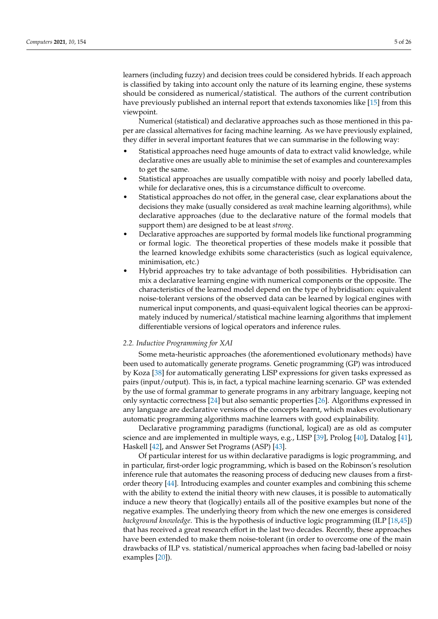learners (including fuzzy) and decision trees could be considered hybrids. If each approach is classified by taking into account only the nature of its learning engine, these systems should be considered as numerical/statistical. The authors of the current contribution have previously published an internal report that extends taxonomies like [\[15\]](#page-23-13) from this viewpoint.

Numerical (statistical) and declarative approaches such as those mentioned in this paper are classical alternatives for facing machine learning. As we have previously explained, they differ in several important features that we can summarise in the following way:

- Statistical approaches need huge amounts of data to extract valid knowledge, while declarative ones are usually able to minimise the set of examples and counterexamples to get the same.
- Statistical approaches are usually compatible with noisy and poorly labelled data, while for declarative ones, this is a circumstance difficult to overcome.
- Statistical approaches do not offer, in the general case, clear explanations about the decisions they make (usually considered as *weak* machine learning algorithms), while declarative approaches (due to the declarative nature of the formal models that support them) are designed to be at least *strong*.
- Declarative approaches are supported by formal models like functional programming or formal logic. The theoretical properties of these models make it possible that the learned knowledge exhibits some characteristics (such as logical equivalence, minimisation, etc.)
- Hybrid approaches try to take advantage of both possibilities. Hybridisation can mix a declarative learning engine with numerical components or the opposite. The characteristics of the learned model depend on the type of hybridisation: equivalent noise-tolerant versions of the observed data can be learned by logical engines with numerical input components, and quasi-equivalent logical theories can be approximately induced by numerical/statistical machine learning algorithms that implement differentiable versions of logical operators and inference rules.

## *2.2. Inductive Programming for XAI*

Some meta-heuristic approaches (the aforementioned evolutionary methods) have been used to automatically generate programs. Genetic programming (GP) was introduced by Koza [\[38\]](#page-24-9) for automatically generating LISP expressions for given tasks expressed as pairs (input/output). This is, in fact, a typical machine learning scenario. GP was extended by the use of formal grammar to generate programs in any arbitrary language, keeping not only syntactic correctness [\[24\]](#page-23-22) but also semantic properties [\[26\]](#page-24-0). Algorithms expressed in any language are declarative versions of the concepts learnt, which makes evolutionary automatic programming algorithms machine learners with good explainability.

Declarative programming paradigms (functional, logical) are as old as computer science and are implemented in multiple ways, e.g., LISP [\[39\]](#page-24-10), Prolog [\[40\]](#page-24-11), Datalog [\[41\]](#page-24-12), Haskell [\[42\]](#page-24-13), and Answer Set Programs (ASP) [\[43\]](#page-24-14).

Of particular interest for us within declarative paradigms is logic programming, and in particular, first-order logic programming, which is based on the Robinson's resolution inference rule that automates the reasoning process of deducing new clauses from a firstorder theory [\[44\]](#page-24-15). Introducing examples and counter examples and combining this scheme with the ability to extend the initial theory with new clauses, it is possible to automatically induce a new theory that (logically) entails all of the positive examples but none of the negative examples. The underlying theory from which the new one emerges is considered *background knowledge*. This is the hypothesis of inductive logic programming (ILP [\[18,](#page-23-16)[45\]](#page-24-16)) that has received a great research effort in the last two decades. Recently, these approaches have been extended to make them noise-tolerant (in order to overcome one of the main drawbacks of ILP vs. statistical/numerical approaches when facing bad-labelled or noisy examples [\[20\]](#page-23-18)).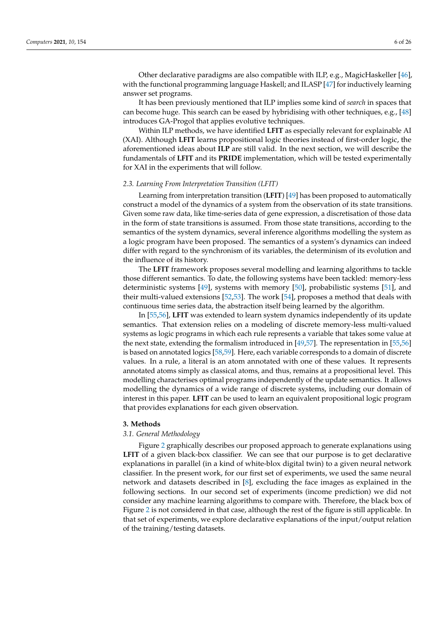Other declarative paradigms are also compatible with ILP, e.g., MagicHaskeller [\[46\]](#page-24-17), with the functional programming language Haskell; and ILASP [\[47\]](#page-24-18) for inductively learning answer set programs.

It has been previously mentioned that ILP implies some kind of *search* in spaces that can become huge. This search can be eased by hybridising with other techniques, e.g., [\[48\]](#page-24-19) introduces GA-Progol that applies evolutive techniques.

Within ILP methods, we have identified **LFIT** as especially relevant for explainable AI (XAI). Although **LFIT** learns propositional logic theories instead of first-order logic, the aforementioned ideas about **ILP** are still valid. In the next section, we will describe the fundamentals of **LFIT** and its **PRIDE** implementation, which will be tested experimentally for XAI in the experiments that will follow.

#### *2.3. Learning From Interpretation Transition (LFIT)*

Learning from interpretation transition (**LFIT**) [\[49\]](#page-24-20) has been proposed to automatically construct a model of the dynamics of a system from the observation of its state transitions. Given some raw data, like time-series data of gene expression, a discretisation of those data in the form of state transitions is assumed. From those state transitions, according to the semantics of the system dynamics, several inference algorithms modelling the system as a logic program have been proposed. The semantics of a system's dynamics can indeed differ with regard to the synchronism of its variables, the determinism of its evolution and the influence of its history.

The **LFIT** framework proposes several modelling and learning algorithms to tackle those different semantics. To date, the following systems have been tackled: memory-less deterministic systems [\[49\]](#page-24-20), systems with memory [\[50\]](#page-24-21), probabilistic systems [\[51\]](#page-24-22), and their multi-valued extensions [\[52,](#page-24-23)[53\]](#page-24-24). The work [\[54\]](#page-24-25), proposes a method that deals with continuous time series data, the abstraction itself being learned by the algorithm.

In [\[55](#page-24-26)[,56\]](#page-24-27), **LFIT** was extended to learn system dynamics independently of its update semantics. That extension relies on a modeling of discrete memory-less multi-valued systems as logic programs in which each rule represents a variable that takes some value at the next state, extending the formalism introduced in [\[49,](#page-24-20)[57\]](#page-25-0). The representation in [\[55,](#page-24-26)[56\]](#page-24-27) is based on annotated logics [\[58,](#page-25-1)[59\]](#page-25-2). Here, each variable corresponds to a domain of discrete values. In a rule, a literal is an atom annotated with one of these values. It represents annotated atoms simply as classical atoms, and thus, remains at a propositional level. This modelling characterises optimal programs independently of the update semantics. It allows modelling the dynamics of a wide range of discrete systems, including our domain of interest in this paper. **LFIT** can be used to learn an equivalent propositional logic program that provides explanations for each given observation.

#### <span id="page-5-0"></span>**3. Methods**

#### *3.1. General Methodology*

Figure [2](#page-6-0) graphically describes our proposed approach to generate explanations using **LFIT** of a given black-box classifier. We can see that our purpose is to get declarative explanations in parallel (in a kind of white-blox digital twin) to a given neural network classifier. In the present work, for our first set of experiments, we used the same neural network and datasets described in [\[8\]](#page-23-7), excluding the face images as explained in the following sections. In our second set of experiments (income prediction) we did not consider any machine learning algorithms to compare with. Therefore, the black box of Figure [2](#page-6-0) is not considered in that case, although the rest of the figure is still applicable. In that set of experiments, we explore declarative explanations of the input/output relation of the training/testing datasets.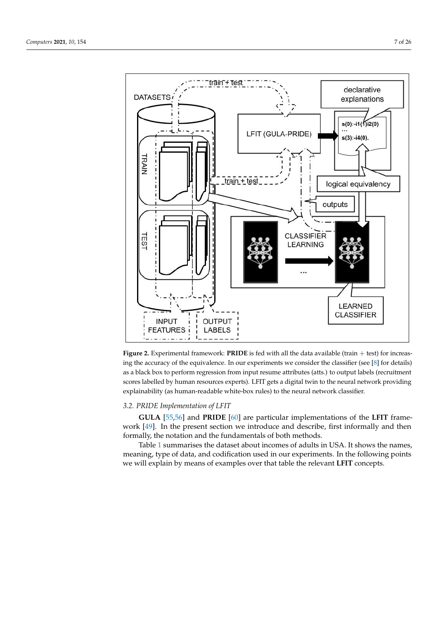<span id="page-6-0"></span>

**Figure 2.** Experimental framework: **PRIDE** is fed with all the data available (train + test) for increasing the accuracy of the equivalence. In our experiments we consider the classifier (see [\[8\]](#page-23-7) for details) as a black box to perform regression from input resume attributes (atts.) to output labels (recruitment scores labelled by human resources experts). LFIT gets a digital twin to the neural network providing explainability (as human-readable white-box rules) to the neural network classifier.

# *3.2. PRIDE Implementation of LFIT*

**GULA** [\[55](#page-24-26)[,56\]](#page-24-27) and **PRIDE** [\[60\]](#page-25-3) are particular implementations of the **LFIT** framework [\[49\]](#page-24-20). In the present section we introduce and describe, first informally and then formally, the notation and the fundamentals of both methods.

Table [1](#page-7-0) summarises the dataset about incomes of adults in USA. It shows the names, meaning, type of data, and codification used in our experiments. In the following points we will explain by means of examples over that table the relevant **LFIT** concepts.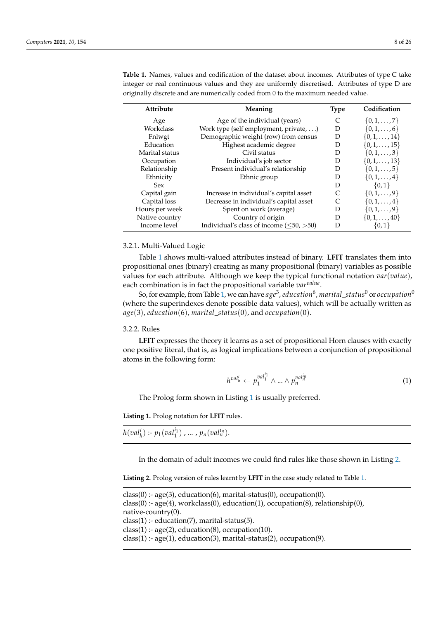| Attribute      | Meaning                                       | <b>Type</b> | Codification           |
|----------------|-----------------------------------------------|-------------|------------------------|
| Age            | Age of the individual (years)                 | C           | $\{0, 1, \ldots, 7\}$  |
| Workclass      | Work type (self employment, private, )        | D           | $\{0, 1, \ldots, 6\}$  |
| Fnlwgt         | Demographic weight (row) from census          | D           | $\{0, 1, \ldots, 14\}$ |
| Education      | Highest academic degree                       | D           | $\{0, 1, \ldots, 15\}$ |
| Marital status | Civil status                                  | D           | $\{0, 1, \ldots, 3\}$  |
| Occupation     | Individual's job sector                       | D           | $\{0, 1, \ldots, 13\}$ |
| Relationship   | Present individual's relationship             | D           | $\{0, 1, \ldots, 5\}$  |
| Ethnicity      | Ethnic group                                  | D           | $\{0, 1, \ldots, 4\}$  |
| <b>Sex</b>     |                                               | D           | $\{0,1\}$              |
| Capital gain   | Increase in individual's capital asset        |             | $\{0, 1, \ldots, 9\}$  |
| Capital loss   | Decrease in individual's capital asset        |             | $\{0,1,\ldots,4\}$     |
| Hours per week | Spent on work (average)                       | D           | $\{0,1,\ldots,9\}$     |
| Native country | Country of origin                             | D           | $\{0, 1, \ldots, 40\}$ |
| Income level   | Individual's class of income $(\leq 50, >50)$ | D           | $\{0,1\}$              |

<span id="page-7-0"></span>**Table 1.** Names, values and codification of the dataset about incomes. Attributes of type C take integer or real continuous values and they are uniformly discretised. Attributes of type D are originally discrete and are numerically coded from 0 to the maximum needed value.

# 3.2.1. Multi-Valued Logic

Table [1](#page-7-0) shows multi-valued attributes instead of binary. **LFIT** translates them into propositional ones (binary) creating as many propositional (binary) variables as possible values for each attribute. Although we keep the typical functional notation *var*(*value*), each combination is in fact the propositional variable *varvalue* .

So, for example, from Table [1,](#page-7-0) we can have *age*<sup>3</sup> , *education*<sup>6</sup> , *marital*\_*status*<sup>0</sup> or *occupation*<sup>0</sup> (where the superindexes denote possible data values), which will be actually written as *age*(3), *education*(6), *marital*\_*status*(0), and *occupation*(0).

#### 3.2.2. Rules

**LFIT** expresses the theory it learns as a set of propositional Horn clauses with exactly one positive literal, that is, as logical implications between a conjunction of propositional atoms in the following form:

$$
h^{val_h^i} \leftarrow p_1^{val_1^i} \wedge \ldots \wedge p_n^{val_n^{i_n}}
$$
 (1)

The Prolog form shown in Listing [1](#page-7-1) is usually preferred.

<span id="page-7-1"></span>**Listing 1.** Prolog notation for **LFIT** rules.

 $h(val_h^i)$  :-  $p_1(val_1^{i_1})$  , ...,  $p_n(val_n^{i_n})$ .

In the domain of adult incomes we could find rules like those shown in Listing [2.](#page-7-2)

<span id="page-7-2"></span>**Listing 2.** Prolog version of rules learnt by **LFIT** in the case study related to Table [1.](#page-7-0)

```
class(0) :- age(3), education(6), marital-status(0), occupation(0).
class(0) :- age(4), workclass(0), education(1), occupation(8), relationship(0),
native-country(0).
class(1) :- education(7), marital-status(5).
class(1): - age(2), education(8), occupation(10).
class(1):- age(1), education(3), marital-status(2), occupation(9).
```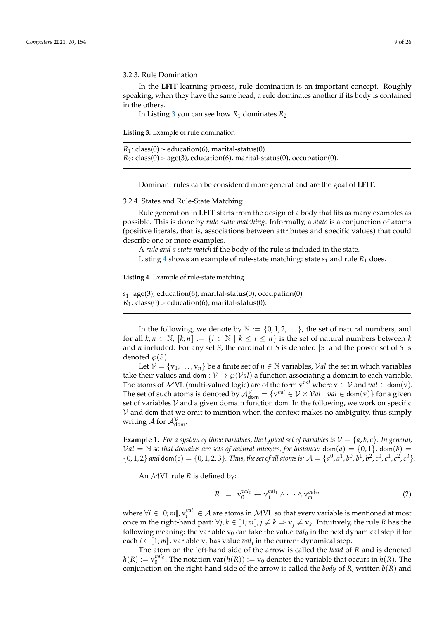3.2.3. Rule Domination

In the **LFIT** learning process, rule domination is an important concept. Roughly speaking, when they have the same head, a rule dominates another if its body is contained in the others.

In Listing [3](#page-8-0) you can see how  $R_1$  dominates  $R_2$ .

<span id="page-8-0"></span>**Listing 3.** Example of rule domination

|  | $R_1$ : class(0) :- education(6), marital-status(0).                        |  |
|--|-----------------------------------------------------------------------------|--|
|  | $R_2$ : class(0) :- age(3), education(6), marital-status(0), occupation(0). |  |

Dominant rules can be considered more general and are the goal of **LFIT**.

3.2.4. States and Rule-State Matching

Rule generation in **LFIT** starts from the design of a body that fits as many examples as possible. This is done by *rule-state matching*. Informally, a *state* is a conjunction of atoms (positive literals, that is, associations between attributes and specific values) that could describe one or more examples.

A *rule and a state match* if the body of the rule is included in the state.

Listing [4](#page-8-1) shows an example of rule-state matching: state  $s_1$  and rule  $R_1$  does.

<span id="page-8-1"></span>**Listing 4.** Example of rule-state matching.

$$
s_1
$$
: age(3), education(6), marital-status(0), occupation(0)  
 $R_1$ : class(0) :- education(6), marital-status(0).

In the following, we denote by  $\mathbb{N} := \{0, 1, 2, \dots\}$ , the set of natural numbers, and for all  $k, n \in \mathbb{N}$ ,  $\llbracket k; n \rrbracket := \{ i \in \mathbb{N} \mid k \le i \le n \}$  is the set of natural numbers between  $k$ and *n* included. For any set *S*, the cardinal of *S* is denoted |*S*| and the power set of *S* is denoted  $\wp(S)$ .

Let  $V = \{v_1, \ldots, v_n\}$  be a finite set of  $n \in \mathbb{N}$  variables, Val the set in which variables take their values and dom :  $V \rightarrow \wp(Val)$  a function associating a domain to each variable. The atoms of  $\mathcal{M}$ VL (multi-valued logic) are of the form  $v^{val}$  where  $v \in \mathcal{V}$  and  $val \in \text{dom}(v)$ . The set of such atoms is denoted by  $\mathcal{A}_{\text{dom}}^{\mathcal{V}} = \{v^{val} \in \mathcal{V} \times \mathcal{V}al \mid val \in \text{dom}(v)\}$  for a given set of variables  $V$  and a given domain function dom. In the following, we work on specific  $V$  and dom that we omit to mention when the context makes no ambiguity, thus simply writing  $\mathcal A$  for  $\mathcal A^\mathcal V_\mathsf{dom}.$ 

**Example 1.** *For a system of three variables, the typical set of variables is*  $V = \{a, b, c\}$ *. In general,*  $Val = N$  so that domains are sets of natural integers, for instance:  $dom(a) = \{0, 1\}$ ,  $dom(b) =$  $\{0, 1, 2\}$  and  $\text{dom}(c) = \{0, 1, 2, 3\}$ . Thus, the set of all atoms is:  $\mathcal{A} = \{a^0, a^1, b^0, b^1, b^2, c^0, c^1, c^2, c^3\}$ .

An MVL rule *R* is defined by:

$$
R = \mathbf{v}_0^{val_0} \leftarrow \mathbf{v}_1^{val_1} \wedge \dots \wedge \mathbf{v}_m^{val_m}
$$
 (2)

where  $\forall i \in [0; m]$ ,  $v_i^{val_i} \in A$  are atoms in MVL so that every variable is mentioned at most<br>once in the right hand part:  $\forall i, k \in [1; m]$ ,  $i \neq k \rightarrow v$ ,  $\neq v$ , Intuitively, the rule *R* has the once in the right-hand part:  $\forall j, k \in [1; m], j \neq k \Rightarrow v_j \neq v_k$ . Intuitively, the rule *R* has the following meaning: the variable *x*, see the the value *nel*, in the next dynamical step if for following meaning: the variable  $v_0$  can take the value  $val_0$  in the next dynamical step if for each  $i \in [1; m]$ , variable  $v_i$  has value  $val_i$  in the current dynamical step.<br>The ctom on the left hand side of the current is salled the *had of* 

The atom on the left-hand side of the arrow is called the *head* of *R* and is denoted  $h(R) := v_0^{val_0}$ . The notation var $(h(R)) := v_0$  denotes the variable that occurs in  $h(R)$ . The conjunction on the right-hand side of the arrow is called the *body* of *R*, written *b*(*R*) and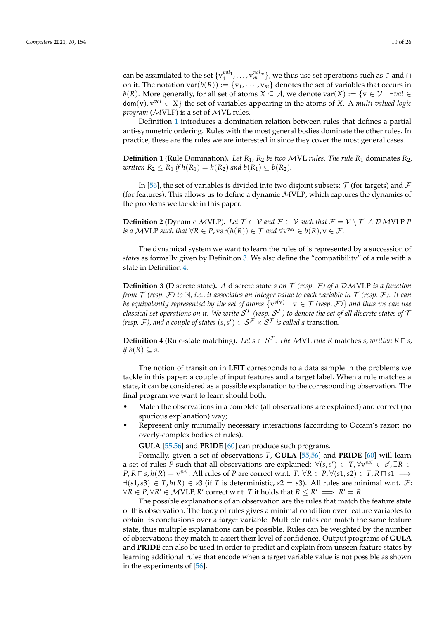can be assimilated to the set  $\{v_1^{val_1}, \ldots, v_m^{val_m}\}$ ; we thus use set operations such as  $\in$  and  $\cap$ on it. The notation  $var(b(R)) := \{v_1, \dots, v_m\}$  denotes the set of variables that occurs in *b*(*R*). More generally, for all set of atoms *X* ⊆ *A*, we denote var(*X*) := { $v ∈ V | \exists val ∈$ dom(v), v*val* ∈ *X*} the set of variables appearing in the atoms of *X*. A *multi-valued logic program* (MVLP) is a set of MVL rules.

Definition [1](#page-9-0) introduces a domination relation between rules that defines a partial anti-symmetric ordering. Rules with the most general bodies dominate the other rules. In practice, these are the rules we are interested in since they cover the most general cases.

<span id="page-9-0"></span>**Definition 1** (Rule Domination)**.** *Let R*1*, R*<sup>2</sup> *be two* MVL *rules. The rule R*<sup>1</sup> dominates *R*2*, written*  $R_2$  ≤  $R_1$  *if*  $h(R_1) = h(R_2)$  *and*  $b(R_1) ⊆ b(R_2)$ *.* 

In [\[56\]](#page-24-27), the set of variables is divided into two disjoint subsets:  $\mathcal T$  (for targets) and  $\mathcal F$ (for features). This allows us to define a dynamic MVLP, which captures the dynamics of the problems we tackle in this paper.

**Definition 2** (Dynamic MVLP). Let  $\mathcal{T} \subset \mathcal{V}$  and  $\mathcal{F} \subset \mathcal{V}$  such that  $\mathcal{F} = \mathcal{V} \setminus \mathcal{T}$ . A DMVLP P *is a*  $\mathcal{M}$ VLP *such that*  $\forall R \in P$ ,  $\text{var}(h(R)) \in \mathcal{T}$  and  $\forall \text{v}^{val} \in b(R)$ ,  $\text{v} \in \mathcal{F}$ .

The dynamical system we want to learn the rules of is represented by a succession of *states* as formally given by Definition [3.](#page-9-1) We also define the "compatibility" of a rule with a state in Definition [4.](#page-9-2)

<span id="page-9-1"></span>**Definition 3** (Discrete state)**.** *A* discrete state *s on* T *(resp.* F*) of a* DMVLP *is a function from* T *(resp.* F*) to* N*, i.e., it associates an integer value to each variable in* T *(resp.* F*). It can be equivalently represented by the set of atoms*  $\{v^{s(v)} \mid v \in \mathcal{T}$  *(resp.*  $\mathcal{F})\}$  *and thus we can use classical set operations on it. We write*  $\mathcal{S}^\mathcal{T}$  *(resp.*  $\mathcal{S}^\mathcal{F}$ ) to denote the set of all discrete states of  $\mathcal T$ *(resp. F), and a couple of states*  $(s,s') \in \mathcal{S}^\mathcal{F} \times \mathcal{S}^\mathcal{T}$  *is called a transition.* 

<span id="page-9-2"></span>**Definition 4** (Rule-state matching). Let  $s \in S^{\mathcal{F}}$ . The MVL rule R matches *s*, written  $R \sqcap s$ , *if*  $b(R) \subseteq s$ .

The notion of transition in **LFIT** corresponds to a data sample in the problems we tackle in this paper: a couple of input features and a target label. When a rule matches a state, it can be considered as a possible explanation to the corresponding observation. The final program we want to learn should both:

- Match the observations in a complete (all observations are explained) and correct (no spurious explanation) way;
- Represent only minimally necessary interactions (according to Occam's razor: no overly-complex bodies of rules).

**GULA** [\[55,](#page-24-26)[56\]](#page-24-27) and **PRIDE** [\[60\]](#page-25-3) can produce such programs.

Formally, given a set of observations *T*, **GULA** [\[55](#page-24-26)[,56\]](#page-24-27) and **PRIDE** [\[60\]](#page-25-3) will learn a set of rules *P* such that all observations are explained:  $\forall (s, s') \in T, \forall v^{val} \in s', \exists R \in T$  $P$ ,  $R \sqcap s$ ,  $h(R) = \mathrm{v}^{val}.$  All rules of  $P$  are correct w.r.t.  $T: \forall R \in P, \forall (s1, s2) \in T$ ,  $R \sqcap s1 \implies$ ∃(*s*1,*s*3) ∈ *T*, *h*(*R*) ∈ *s*3 (if *T* is deterministic, *s*2 = *s*3). All rules are minimal w.r.t. F:  $\forall R \in P, \forall R' \in M$ VLP,  $R'$  correct w.r.t. *T* it holds that  $R \leq R' \implies R' = R$ .

The possible explanations of an observation are the rules that match the feature state of this observation. The body of rules gives a minimal condition over feature variables to obtain its conclusions over a target variable. Multiple rules can match the same feature state, thus multiple explanations can be possible. Rules can be weighted by the number of observations they match to assert their level of confidence. Output programs of **GULA** and **PRIDE** can also be used in order to predict and explain from unseen feature states by learning additional rules that encode when a target variable value is not possible as shown in the experiments of [\[56\]](#page-24-27).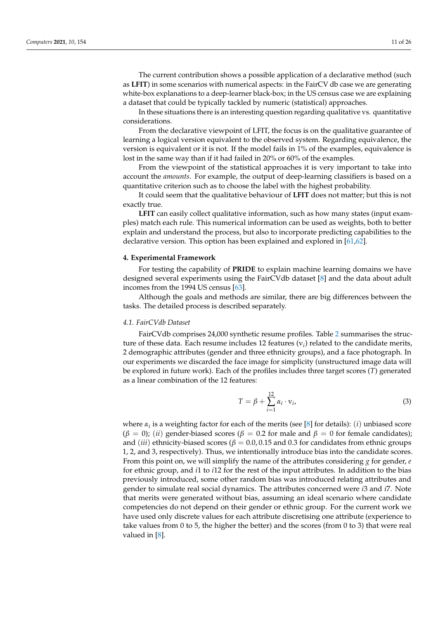The current contribution shows a possible application of a declarative method (such as **LFIT**) in some scenarios with numerical aspects: in the FairCV db case we are generating white-box explanations to a deep-learner black-box; in the US census case we are explaining a dataset that could be typically tackled by numeric (statistical) approaches.

In these situations there is an interesting question regarding qualitative vs. quantitative considerations.

From the declarative viewpoint of LFIT, the focus is on the qualitative guarantee of learning a logical version equivalent to the observed system. Regarding equivalence, the version is equivalent or it is not. If the model fails in 1% of the examples, equivalence is lost in the same way than if it had failed in 20% or 60% of the examples.

From the viewpoint of the statistical approaches it is very important to take into account the *amounts*. For example, the output of deep-learning classifiers is based on a quantitative criterion such as to choose the label with the highest probability.

It could seem that the qualitative behaviour of **LFIT** does not matter; but this is not exactly true.

**LFIT** can easily collect qualitative information, such as how many states (input examples) match each rule. This numerical information can be used as weights, both to better explain and understand the process, but also to incorporate predicting capabilities to the declarative version. This option has been explained and explored in [\[61](#page-25-4)[,62\]](#page-25-5).

#### <span id="page-10-0"></span>**4. Experimental Framework**

For testing the capability of **PRIDE** to explain machine learning domains we have designed several experiments using the FairCVdb dataset [\[8\]](#page-23-7) and the data about adult incomes from the 1994 US census [\[63\]](#page-25-6).

Although the goals and methods are similar, there are big differences between the tasks. The detailed process is described separately.

#### *4.1. FairCVdb Dataset*

FairCVdb comprises 24,000 synthetic resume profiles. Table [2](#page-11-0) summarises the structure of these data. Each resume includes 12 features (v*<sup>i</sup>* ) related to the candidate merits, 2 demographic attributes (gender and three ethnicity groups), and a face photograph. In our experiments we discarded the face image for simplicity (unstructured image data will be explored in future work). Each of the profiles includes three target scores (*T*) generated as a linear combination of the 12 features:

$$
T = \beta + \sum_{i=1}^{12} \alpha_i \cdot \mathbf{v}_i, \tag{3}
$$

where *α<sup>i</sup>* is a weighting factor for each of the merits (see [\[8\]](#page-23-7) for details): (*i*) unbiased score  $(β = 0)$ ; (*ii*) gender-biased scores ( $β = 0.2$  for male and  $β = 0$  for female candidates); and (*iii*) ethnicity-biased scores ( $\beta = 0.0, 0.15$  and 0.3 for candidates from ethnic groups 1, 2, and 3, respectively). Thus, we intentionally introduce bias into the candidate scores. From this point on, we will simplify the name of the attributes considering *g* for gender, *e* for ethnic group, and *i*1 to *i*12 for the rest of the input attributes. In addition to the bias previously introduced, some other random bias was introduced relating attributes and gender to simulate real social dynamics. The attributes concerned were *i*3 and *i*7. Note that merits were generated without bias, assuming an ideal scenario where candidate competencies do not depend on their gender or ethnic group. For the current work we have used only discrete values for each attribute discretising one attribute (experience to take values from 0 to 5, the higher the better) and the scores (from 0 to 3) that were real valued in [\[8\]](#page-23-7).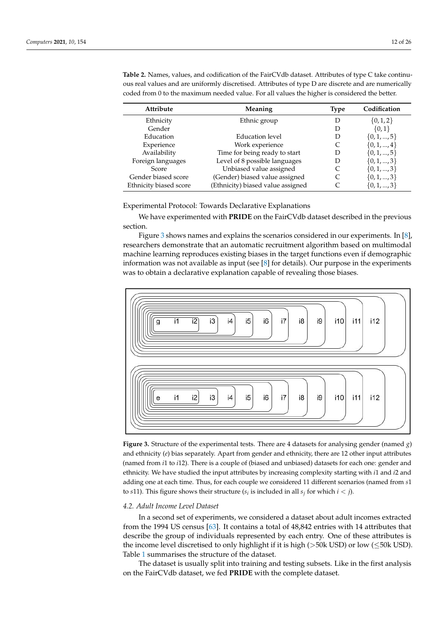| Meaning                           | Type | Codification    |
|-----------------------------------|------|-----------------|
| Ethnic group                      | D    | $\{0,1,2\}$     |
|                                   |      | $\{0,1\}$       |
| Education level                   | Ð    | $\{0, 1, , 5\}$ |
| Work experience                   |      | $\{0, 1, , 4\}$ |
| Time for being ready to start     | Ð    | $\{0, 1, , 5\}$ |
| Level of 8 possible languages     |      | $\{0,1,,3\}$    |
| Unbiased value assigned           |      | $\{0, 1, , 3\}$ |
| (Gender) biased value assigned    |      | $\{0, 1, , 3\}$ |
| (Ethnicity) biased value assigned |      | $\{0,1,,3\}$    |
|                                   |      |                 |

<span id="page-11-0"></span>**Table 2.** Names, values, and codification of the FairCVdb dataset. Attributes of type C take continuous real values and are uniformly discretised. Attributes of type D are discrete and are numerically coded from 0 to the maximum needed value. For all values the higher is considered the better.

Experimental Protocol: Towards Declarative Explanations

We have experimented with **PRIDE** on the FairCVdb dataset described in the previous section.

Figure [3](#page-11-1) shows names and explains the scenarios considered in our experiments. In [\[8\]](#page-23-7), researchers demonstrate that an automatic recruitment algorithm based on multimodal machine learning reproduces existing biases in the target functions even if demographic information was not available as input (see  $[8]$  for details). Our purpose in the experiments was to obtain a declarative explanation capable of revealing those biases.

<span id="page-11-1"></span>

**Figure 3.** Structure of the experimental tests. There are 4 datasets for analysing gender (named *g*) and ethnicity (*e*) bias separately. Apart from gender and ethnicity, there are 12 other input attributes (named from *i*1 to *i*12). There is a couple of (biased and unbiased) datasets for each one: gender and ethnicity. We have studied the input attributes by increasing complexity starting with *i*1 and *i*2 and adding one at each time. Thus, for each couple we considered 11 different scenarios (named from *s*1 to *s*11). This figure shows their structure ( $s_i$  is included in all  $s_j$  for which  $i < j$ ).

## *4.2. Adult Income Level Dataset*

In a second set of experiments, we considered a dataset about adult incomes extracted from the 1994 US census [\[63\]](#page-25-6). It contains a total of 48,842 entries with 14 attributes that describe the group of individuals represented by each entry. One of these attributes is the income level discretised to only highlight if it is high (>50k USD) or low (≤50k USD). Table [1](#page-7-0) summarises the structure of the dataset.

The dataset is usually split into training and testing subsets. Like in the first analysis on the FairCVdb dataset, we fed **PRIDE** with the complete dataset.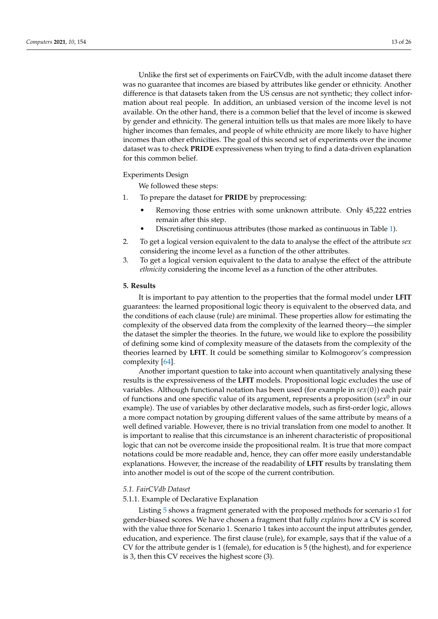Unlike the first set of experiments on FairCVdb, with the adult income dataset there was no guarantee that incomes are biased by attributes like gender or ethnicity. Another difference is that datasets taken from the US census are not synthetic; they collect information about real people. In addition, an unbiased version of the income level is not available. On the other hand, there is a common belief that the level of income is skewed by gender and ethnicity. The general intuition tells us that males are more likely to have higher incomes than females, and people of white ethnicity are more likely to have higher incomes than other ethnicities. The goal of this second set of experiments over the income

# Experiments Design

for this common belief.

We followed these steps:

- 1. To prepare the dataset for **PRIDE** by preprocessing:
	- Removing those entries with some unknown attribute. Only 45,222 entries remain after this step.
	- Discretising continuous attributes (those marked as continuous in Table [1\)](#page-7-0).

dataset was to check **PRIDE** expressiveness when trying to find a data-driven explanation

- 2. To get a logical version equivalent to the data to analyse the effect of the attribute *sex* considering the income level as a function of the other attributes.
- 3. To get a logical version equivalent to the data to analyse the effect of the attribute *ethnicity* considering the income level as a function of the other attributes.

## <span id="page-12-0"></span>**5. Results**

It is important to pay attention to the properties that the formal model under **LFIT** guarantees: the learned propositional logic theory is equivalent to the observed data, and the conditions of each clause (rule) are minimal. These properties allow for estimating the complexity of the observed data from the complexity of the learned theory—the simpler the dataset the simpler the theories. In the future, we would like to explore the possibility of defining some kind of complexity measure of the datasets from the complexity of the theories learned by **LFIT**. It could be something similar to Kolmogorov's compression complexity [\[64\]](#page-25-7).

Another important question to take into account when quantitatively analysing these results is the expressiveness of the **LFIT** models. Propositional logic excludes the use of variables. Although functional notation has been used (for example in *sex*(0)) each pair of functions and one specific value of its argument, represents a proposition ( $sex^0$  in our example). The use of variables by other declarative models, such as first-order logic, allows a more compact notation by grouping different values of the same attribute by means of a well defined variable. However, there is no trivial translation from one model to another. It is important to realise that this circumstance is an inherent characteristic of propositional logic that can not be overcome inside the propositional realm. It is true that more compact notations could be more readable and, hence, they can offer more easily understandable explanations. However, the increase of the readability of **LFIT** results by translating them into another model is out of the scope of the current contribution.

## *5.1. FairCVdb Dataset*

#### 5.1.1. Example of Declarative Explanation

Listing [5](#page-13-0) shows a fragment generated with the proposed methods for scenario *s*1 for gender-biased scores. We have chosen a fragment that fully *explains* how a CV is scored with the value three for Scenario 1. Scenario 1 takes into account the input attributes gender, education, and experience. The first clause (rule), for example, says that if the value of a CV for the attribute gender is 1 (female), for education is 5 (the highest), and for experience is 3, then this CV receives the highest score (3).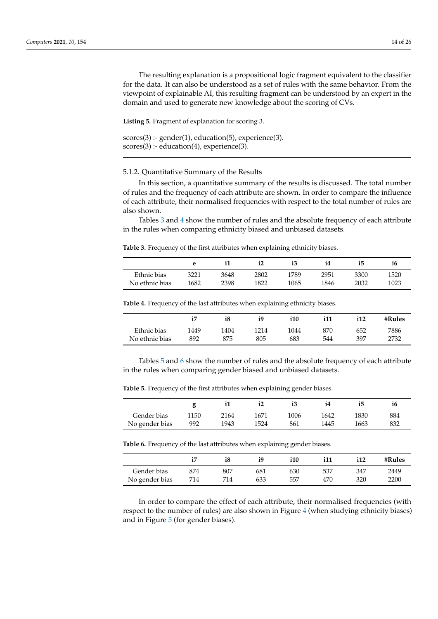The resulting explanation is a propositional logic fragment equivalent to the classifier for the data. It can also be understood as a set of rules with the same behavior. From the viewpoint of explainable AI, this resulting fragment can be understood by an expert in the domain and used to generate new knowledge about the scoring of CVs.

<span id="page-13-0"></span>**Listing 5.** Fragment of explanation for scoring 3.

```
scores(3):- gender(1), education(5), experience(3).
scores(3) :- education(4), experience(3).
```
## 5.1.2. Quantitative Summary of the Results

In this section, a quantitative summary of the results is discussed. The total number of rules and the frequency of each attribute are shown. In order to compare the influence of each attribute, their normalised frequencies with respect to the total number of rules are also shown.

Tables [3](#page-13-1) and [4](#page-13-2) show the number of rules and the absolute frequency of each attribute in the rules when comparing ethnicity biased and unbiased datasets.

<span id="page-13-1"></span>**Table 3.** Frequency of the first attributes when explaining ethnicity biases.

|                |      |      | i2   |      | 14   | i5   | 16   |
|----------------|------|------|------|------|------|------|------|
| Ethnic bias    | 3221 | 3648 | 2802 | 1789 | 2951 | 3300 | 1520 |
| No ethnic bias | 1682 | 2398 | 1822 | 1065 | 1846 | 2032 | 1023 |

<span id="page-13-2"></span>**Table 4.** Frequency of the last attributes when explaining ethnicity biases.

|                |      | i8   | i9   | i10  | i11 | 112 | $\#Rules$ |
|----------------|------|------|------|------|-----|-----|-----------|
| Ethnic bias    | 1449 | 1404 | 1214 | 1044 | 870 | 652 | 7886      |
| No ethnic bias | 892  | 875  | 805  | 683  | 544 | 397 | 2732      |

Tables [5](#page-13-3) and [6](#page-13-4) show the number of rules and the absolute frequency of each attribute in the rules when comparing gender biased and unbiased datasets.

|                |      |      |      |      | 14   | 15   |     |
|----------------|------|------|------|------|------|------|-----|
| Gender bias    | 1150 | 2164 | 1671 | 1006 | 1642 | 1830 | 884 |
| No gender bias | 992  | 1943 | 1524 | 861  | 1445 | 1663 | 832 |

<span id="page-13-3"></span>**Table 5.** Frequency of the first attributes when explaining gender biases.

<span id="page-13-4"></span>**Table 6.** Frequency of the last attributes when explaining gender biases.

|                |     | i8  | i9  | i10 | i11 | i12 | $\#Rules$ |
|----------------|-----|-----|-----|-----|-----|-----|-----------|
| Gender bias    | 874 | 807 | 681 | 630 | 537 | 347 | 2449      |
| No gender bias | 714 | 714 | 633 | 557 | 470 | 320 | 2200      |

In order to compare the effect of each attribute, their normalised frequencies (with respect to the number of rules) are also shown in Figure [4](#page-14-0) (when studying ethnicity biases) and in Figure [5](#page-14-1) (for gender biases).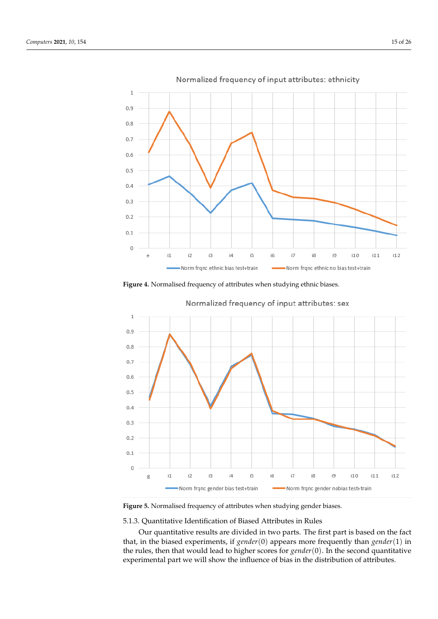<span id="page-14-0"></span>

**Figure 4.** Normalised frequency of attributes when studying ethnic biases.

<span id="page-14-1"></span>

**Figure 5.** Normalised frequency of attributes when studying gender biases.

# 5.1.3. Quantitative Identification of Biased Attributes in Rules

Our quantitative results are divided in two parts. The first part is based on the fact that, in the biased experiments, if *gender*(0) appears more frequently than *gender*(1) in the rules, then that would lead to higher scores for *gender*(0). In the second quantitative experimental part we will show the influence of bias in the distribution of attributes.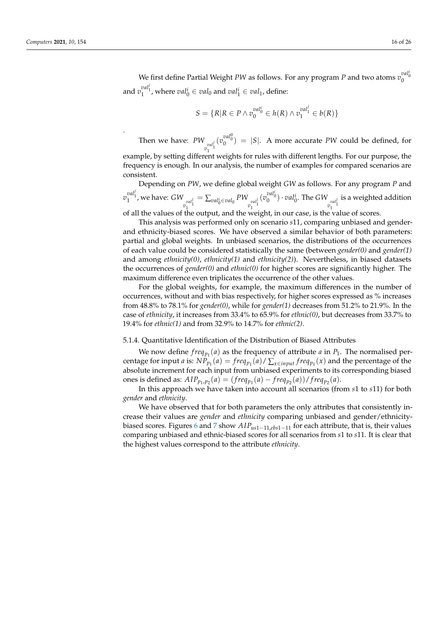.

$$
S = \{ R | R \in P \land v_0^{val_0^i} \in h(R) \land v_1^{val_1^j} \in b(R) \}
$$

Then we have: *PW*  $v_1^{val_1^j}$  $(v_0^{val_0^0}) = |S|$ . A more accurate *PW* could be defined, for

example, by setting different weights for rules with different lengths. For our purpose, the frequency is enough. In our analysis, the number of examples for compared scenarios are consistent.

Depending on *PW*, we define global weight *GW* as follows. For any program *P* and  $v_1^{val_1^j}$ , we have:  $GW$  $v_1^{val_1^j}$  $=\sum_{val_0^i \in val_0} PW$  $v_1^{val_1^j}$  $(v_0^{val_0^i}) \cdot val_0^i$ . The *GW*  $v_1^{val_1^j}$ is a weighted addition of all the values of the output, and the weight, in our case, is the value of scores.

This analysis was performed only on scenario *s*11, comparing unbiased and genderand ethnicity-biased scores. We have observed a similar behavior of both parameters: partial and global weights. In unbiased scenarios, the distributions of the occurrences of each value could be considered statistically the same (between *gender(0)* and *gender(1)* and among *ethnicity(0)*, *ethnicity(1)* and *ethnicity(2)*). Nevertheless, in biased datasets the occurrences of *gender(0)* and *ethnic(0)* for higher scores are significantly higher. The maximum difference even triplicates the occurrence of the other values.

For the global weights, for example, the maximum differences in the number of occurrences, without and with bias respectively, for higher scores expressed as % increases from 48.8% to 78.1% for *gender(0)*, while for *gender(1)* decreases from 51.2% to 21.9%. In the case of *ethnicity*, it increases from 33.4% to 65.9% for *ethnic(0)*, but decreases from 33.7% to 19.4% for *ethnic(1)* and from 32.9% to 14.7% for *ethnic(2)*.

## 5.1.4. Quantitative Identification of the Distribution of Biased Attributes

We now define  $freq_{p_1}(a)$  as the frequency of attribute  $a$  in  $P_1$ . The normalised percentage for input *a* is:  $NP_{p_1}(a) = \frac{freq_{p_1}(a)}{\sum_{x \in input} freq_{p_1}(x)}$  and the percentage of the absolute increment for each input from unbiased experiments to its corresponding biased ones is defined as:  $AIP_{p_1,p_2}(a) = (freq_{p_1}(a) - freq_{p_2}(a))/freq_{p_2}(a)$ .

In this approach we have taken into account all scenarios (from *s*1 to *s*11) for both *gender* and *ethnicity*.

We have observed that for both parameters the only attributes that consistently increase their values are *gender* and *ethnicity* comparing unbiased and gender/ethnicitybiased scores. Figures [6](#page-16-0) and [7](#page-16-1) show *AIPus*1−11,*ebs*1−<sup>11</sup> for each attribute, that is, their values comparing unbiased and ethnic-biased scores for all scenarios from *s*1 to *s*11. It is clear that the highest values correspond to the attribute *ethnicity*.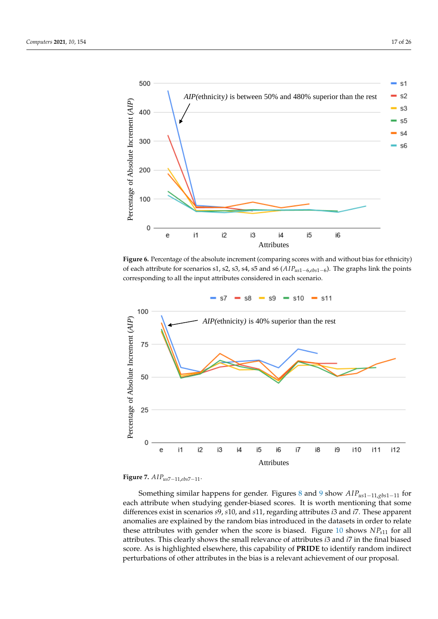<span id="page-16-0"></span>

**Figure 6.** Percentage of the absolute increment (comparing scores with and without bias for ethnicity) of each attribute for scenarios s1, s2, s3, s4, s5 and s6 (*AIPus*1−6,*ebs*1−<sup>6</sup> ). The graphs link the points corresponding to all the input attributes considered in each scenario.

<span id="page-16-1"></span>



Something similar happens for gender. Figures [8](#page-17-0) and [9](#page-17-1) show *AIPus*1−11,*gbs*1−<sup>11</sup> for each attribute when studying gender-biased scores. It is worth mentioning that some differences exist in scenarios *s*9, *s*10, and *s*11, regarding attributes *i*3 and *i*7. These apparent anomalies are explained by the random bias introduced in the datasets in order to relate these attributes with gender when the score is biased. Figure [10](#page-18-0) shows  $NP_{s11}$  for all attributes. This clearly shows the small relevance of attributes *i*3 and *i*7 in the final biased score. As is highlighted elsewhere, this capability of **PRIDE** to identify random indirect perturbations of other attributes in the bias is a relevant achievement of our proposal.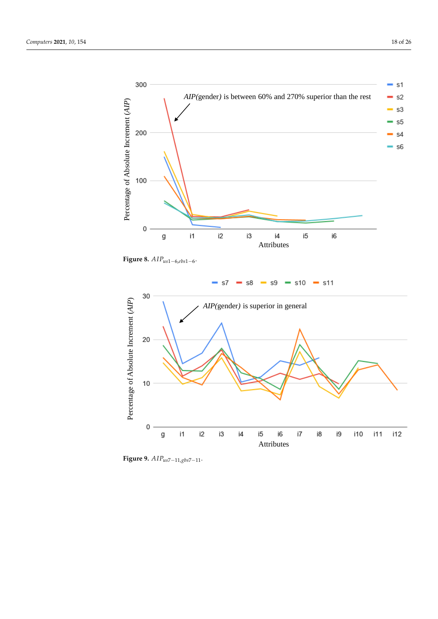<span id="page-17-0"></span>

<span id="page-17-1"></span>**Figure 8.** *AIPus*1−6,*ebs*1−<sup>6</sup> .



**Figure 9.** *AIPus*7−11,*gbs*7−11.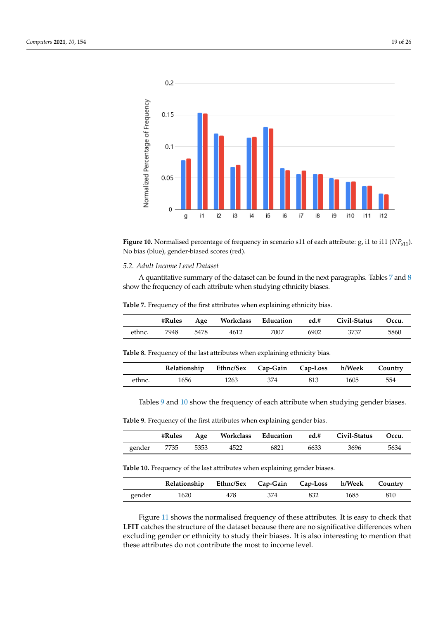<span id="page-18-0"></span>

**Figure 10.** Normalised percentage of frequency in scenario s11 of each attribute: g, i1 to i11 (*NPs*11). No bias (blue), gender-biased scores (red).

### *5.2. Adult Income Level Dataset*

A quantitative summary of the dataset can be found in the next paragraphs. Tables [7](#page-18-1) and [8](#page-18-2) show the frequency of each attribute when studying ethnicity biases.

<span id="page-18-1"></span>**Table 7.** Frequency of the first attributes when explaining ethnicity bias.

|        | #Rules |      |      |      |      | Age Workclass Education ed.# Civil-Status Occu. |      |
|--------|--------|------|------|------|------|-------------------------------------------------|------|
| ethnc. | 7948   | 5478 | 4612 | 7007 | 6902 | 3737                                            | 5860 |

<span id="page-18-2"></span>**Table 8.** Frequency of the last attributes when explaining ethnicity bias.

|        | Relationship Ethnc/Sex Cap-Gain Cap-Loss h/Week Country |      |       |     |      |     |
|--------|---------------------------------------------------------|------|-------|-----|------|-----|
| ethnc. | 1656                                                    | 1263 | - 374 | 813 | 1605 | 554 |

Tables [9](#page-18-3) and [10](#page-18-4) show the frequency of each attribute when studying gender biases.

<span id="page-18-3"></span>**Table 9.** Frequency of the first attributes when explaining gender bias.

|        | #Rules    |      |      |      |      | Age Workclass Education ed.# Civil-Status Occu. |      |
|--------|-----------|------|------|------|------|-------------------------------------------------|------|
| gender | $-1$ 7735 | 5353 | 4522 | 6821 | 6633 | 3696                                            | 5634 |

<span id="page-18-4"></span>**Table 10.** Frequency of the last attributes when explaining gender biases.

|        | Relationship Ethnc/Sex Cap-Gain Cap-Loss h/Week Country |     |     |     |      |     |
|--------|---------------------------------------------------------|-----|-----|-----|------|-----|
| gender | 1620                                                    | 478 | 374 | 832 | 1685 | 810 |

Figure [11](#page-19-0) shows the normalised frequency of these attributes. It is easy to check that LFIT catches the structure of the dataset because there are no significative differences when excluding gender or ethnicity to study their biases. It is also interesting to mention that these attributes do not contribute the most to income level.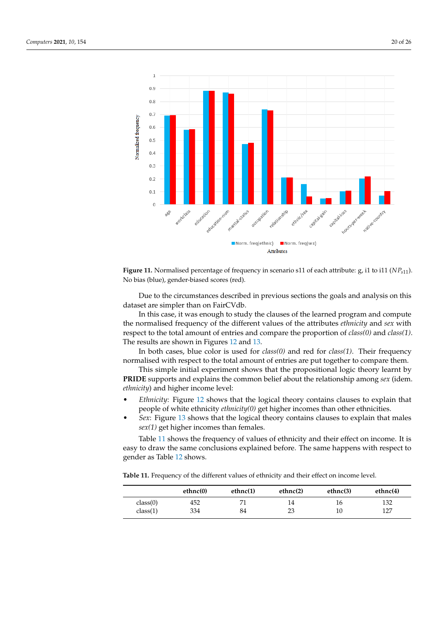<span id="page-19-0"></span>



Due to the circumstances described in previous sections the goals and analysis on this dataset are simpler than on FairCVdb.

In this case, it was enough to study the clauses of the learned program and compute the normalised frequency of the different values of the attributes *ethnicity* and *sex* with respect to the total amount of entries and compare the proportion of *class(0)* and *class(1)*. The results are shown in Figures [12](#page-20-1) and [13.](#page-20-2)

In both cases, blue color is used for *class(0)* and red for *class(1)*. Their frequency normalised with respect to the total amount of entries are put together to compare them.

This simple initial experiment shows that the propositional logic theory learnt by **PRIDE** supports and explains the common belief about the relationship among *sex* (idem. *ethnicity*) and higher income level:

- *Ethnicity*: Figure [12](#page-20-1) shows that the logical theory contains clauses to explain that people of white ethnicity *ethnicity(0)* get higher incomes than other ethnicities.
- *Sex*: Figure [13](#page-20-2) shows that the logical theory contains clauses to explain that males *sex(1)* get higher incomes than females.

Table [11](#page-19-1) shows the frequency of values of ethnicity and their effect on income. It is easy to draw the same conclusions explained before. The same happens with respect to gender as Table [12](#page-20-3) shows.

<span id="page-19-1"></span>**Table 11.** Frequency of the different values of ethnicity and their effect on income level.

|          | ethnc(0) | ethnc(1) | ethnc(2) | ethnc(3) | ethnc $(4)$ |
|----------|----------|----------|----------|----------|-------------|
| class(0) | 452      |          | 14       | 16       | 132         |
| class(1) | 334      | 84       | 23       | 10       | 127         |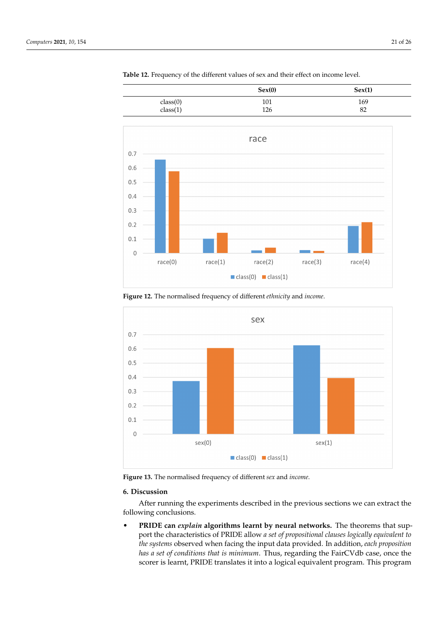<span id="page-20-1"></span>

<span id="page-20-3"></span>**Table 12.** Frequency of the different values of sex and their effect on income level.

**Figure 12.** The normalised frequency of different *ethnicity* and *income*.

<span id="page-20-2"></span>

**Figure 13.** The normalised frequency of different *sex* and *income*.

# <span id="page-20-0"></span>**6. Discussion**

After running the experiments described in the previous sections we can extract the following conclusions.

• **PRIDE can** *explain* **algorithms learnt by neural networks.** The theorems that support the characteristics of PRIDE allow *a set of propositional clauses logically equivalent to the systems* observed when facing the input data provided. In addition, *each proposition has a set of conditions that is minimum*. Thus, regarding the FairCVdb case, once the scorer is learnt, PRIDE translates it into a logical equivalent program. This program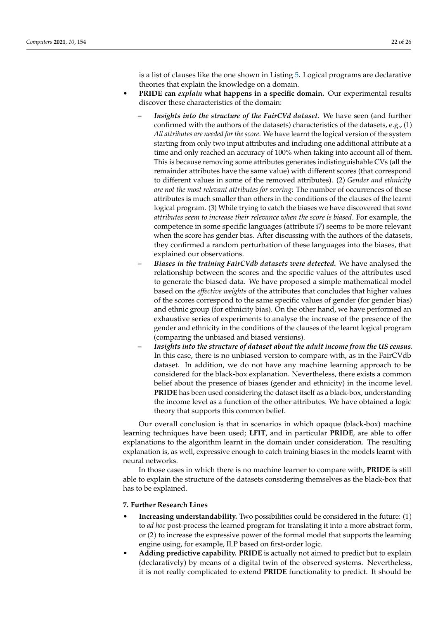is a list of clauses like the one shown in Listing [5.](#page-13-0) Logical programs are declarative theories that explain the knowledge on a domain.

- **PRIDE can** *explain* **what happens in a specific domain.** Our experimental results discover these characteristics of the domain:
	- **–** *Insights into the structure of the FairCVd dataset*. We have seen (and further confirmed with the authors of the datasets) characteristics of the datasets, e.g., (1) *All attributes are needed for the score*. We have learnt the logical version of the system starting from only two input attributes and including one additional attribute at a time and only reached an accuracy of 100% when taking into account all of them. This is because removing some attributes generates indistinguishable CVs (all the remainder attributes have the same value) with different scores (that correspond to different values in some of the removed attributes). (2) *Gender and ethnicity are not the most relevant attributes for scoring*: The number of occurrences of these attributes is much smaller than others in the conditions of the clauses of the learnt logical program. (3) While trying to catch the biases we have discovered that *some attributes seem to increase their relevance when the score is biased*. For example, the competence in some specific languages (attribute i7) seems to be more relevant when the score has gender bias. After discussing with the authors of the datasets, they confirmed a random perturbation of these languages into the biases, that explained our observations.
	- **–** *Biases in the training FairCVdb datasets were detected.* We have analysed the relationship between the scores and the specific values of the attributes used to generate the biased data. We have proposed a simple mathematical model based on the *effective weights* of the attributes that concludes that higher values of the scores correspond to the same specific values of gender (for gender bias) and ethnic group (for ethnicity bias). On the other hand, we have performed an exhaustive series of experiments to analyse the increase of the presence of the gender and ethnicity in the conditions of the clauses of the learnt logical program (comparing the unbiased and biased versions).
	- **–** *Insights into the structure of dataset about the adult income from the US census*. In this case, there is no unbiased version to compare with, as in the FairCVdb dataset. In addition, we do not have any machine learning approach to be considered for the black-box explanation. Nevertheless, there exists a common belief about the presence of biases (gender and ethnicity) in the income level. **PRIDE** has been used considering the dataset itself as a black-box, understanding the income level as a function of the other attributes. We have obtained a logic theory that supports this common belief.

Our overall conclusion is that in scenarios in which opaque (black-box) machine learning techniques have been used; **LFIT**, and in particular **PRIDE**, are able to offer explanations to the algorithm learnt in the domain under consideration. The resulting explanation is, as well, expressive enough to catch training biases in the models learnt with neural networks.

In those cases in which there is no machine learner to compare with, **PRIDE** is still able to explain the structure of the datasets considering themselves as the black-box that has to be explained.

# <span id="page-21-0"></span>**7. Further Research Lines**

- **Increasing understandability.** Two possibilities could be considered in the future: (1) to *ad hoc* post-process the learned program for translating it into a more abstract form, or (2) to increase the expressive power of the formal model that supports the learning engine using, for example, ILP based on first-order logic.
- **Adding predictive capability. PRIDE** is actually not aimed to predict but to explain (declaratively) by means of a digital twin of the observed systems. Nevertheless, it is not really complicated to extend **PRIDE** functionality to predict. It should be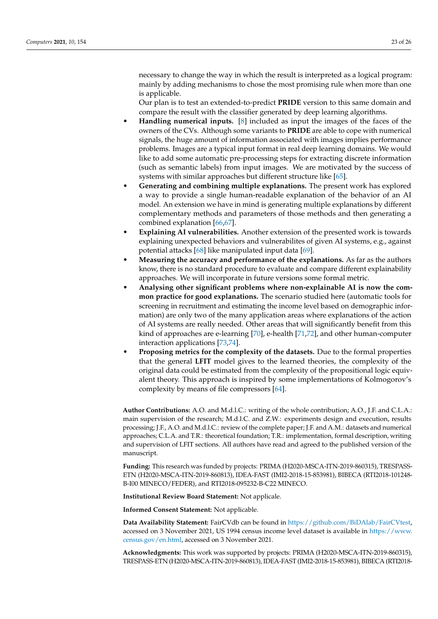necessary to change the way in which the result is interpreted as a logical program: mainly by adding mechanisms to chose the most promising rule when more than one is applicable.

Our plan is to test an extended-to-predict **PRIDE** version to this same domain and compare the result with the classifier generated by deep learning algorithms.

- **Handling numerical inputs.** [\[8\]](#page-23-7) included as input the images of the faces of the owners of the CVs. Although some variants to **PRIDE** are able to cope with numerical signals, the huge amount of information associated with images implies performance problems. Images are a typical input format in real deep learning domains. We would like to add some automatic pre-processing steps for extracting discrete information (such as semantic labels) from input images. We are motivated by the success of systems with similar approaches but different structure like [\[65\]](#page-25-8).
- **Generating and combining multiple explanations.** The present work has explored a way to provide a single human-readable explanation of the behavior of an AI model. An extension we have in mind is generating multiple explanations by different complementary methods and parameters of those methods and then generating a combined explanation [\[66](#page-25-9)[,67\]](#page-25-10).
- **Explaining AI vulnerabilities.** Another extension of the presented work is towards explaining unexpected behaviors and vulnerabilites of given AI systems, e.g., against potential attacks [\[68\]](#page-25-11) like manipulated input data [\[69\]](#page-25-12).
- **Measuring the accuracy and performance of the explanations.** As far as the authors know, there is no standard procedure to evaluate and compare different explainability approaches. We will incorporate in future versions some formal metric.
- **Analysing other significant problems where non-explainable AI is now the common practice for good explanations.** The scenario studied here (automatic tools for screening in recruitment and estimating the income level based on demographic information) are only two of the many application areas where explanations of the action of AI systems are really needed. Other areas that will significantly benefit from this kind of approaches are e-learning [\[70\]](#page-25-13), e-health [\[71,](#page-25-14)[72\]](#page-25-15), and other human-computer interaction applications [\[73](#page-25-16)[,74\]](#page-25-17).
- **Proposing metrics for the complexity of the datasets.** Due to the formal properties that the general **LFIT** model gives to the learned theories, the complexity of the original data could be estimated from the complexity of the propositional logic equivalent theory. This approach is inspired by some implementations of Kolmogorov's complexity by means of file compressors [\[64\]](#page-25-7).

**Author Contributions:** A.O. and M.d.l.C.: writing of the whole contribution; A.O., J.F. and C.L.A.: main supervision of the research; M.d.l.C. and Z.W.: experiments design and execution, results processing; J.F., A.O. and M.d.l.C.: review of the complete paper; J.F. and A.M.: datasets and numerical approaches; C.L.A. and T.R.: theoretical foundation; T.R.: implementation, formal description, writing and supervision of LFIT sections. All authors have read and agreed to the published version of the manuscript.

**Funding:** This research was funded by projects: PRIMA (H2020-MSCA-ITN-2019-860315), TRESPASS-ETN (H2020-MSCA-ITN-2019-860813), IDEA-FAST (IMI2-2018-15-853981), BIBECA (RTI2018-101248- B-I00 MINECO/FEDER), and RTI2018-095232-B-C22 MINECO.

**Institutional Review Board Statement:** Not applicale.

**Informed Consent Statement:** Not applicable.

**Data Availability Statement:** FairCVdb can be found in [https://github.com/BiDAlab/FairCVtest,](https://github.com/BiDAlab/FairCVtest) accessed on 3 November 2021, US 1994 census income level dataset is available in [https://www.](https://www.census.gov/en.html) [census.gov/en.html,](https://www.census.gov/en.html) accessed on 3 November 2021.

**Acknowledgments:** This work was supported by projects: PRIMA (H2020-MSCA-ITN-2019-860315), TRESPASS-ETN (H2020-MSCA-ITN-2019-860813), IDEA-FAST (IMI2-2018-15-853981), BIBECA (RTI2018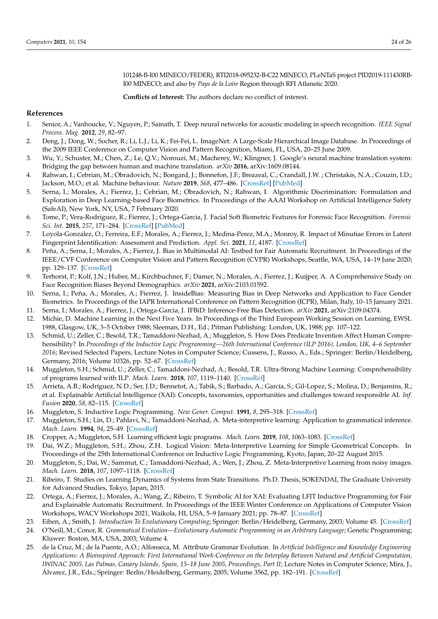101248-B-I00 MINECO/FEDER), RTI2018-095232-B-C22 MINECO, PLeNTaS project PID2019-111430RB-I00 MINECO; and also by *Pays de la Loire* Region through RFI Atlanstic 2020.

**Conflicts of Interest:** The authors declare no conflict of interest.

# **References**

- <span id="page-23-0"></span>1. Senior, A.; Vanhoucke, V.; Nguyen, P.; Sainath, T. Deep neural networks for acoustic modeling in speech recognition. *IEEE Signal Process. Mag.* **2012**, *29*, 82–97.
- <span id="page-23-1"></span>2. Deng, J.; Dong, W.; Socher, R.; Li, L.J.; Li, K.; Fei-Fei, L. ImageNet: A Large-Scale Hierarchical Image Database. In Proceedings of the 2009 IEEE Conference on Computer Vision and Pattern Recognition, Miami, FL, USA, 20–25 June 2009.
- <span id="page-23-2"></span>3. Wu, Y.; Schuster, M.; Chen, Z.; Le, Q.V.; Norouzi, M.; Macherey, W.; Klingner, J. Google's neural machine translation system: Bridging the gap between human and machine translation. *arXiv* **2016**, arXiv:1609.08144.
- <span id="page-23-3"></span>4. Rahwan, I.; Cebrian, M.; Obradovich, N.; Bongard, J.; Bonnefon, J.F.; Breazeal, C.; Crandall, J.W. ; Christakis, N.A.; Couzin, I.D.; Jackson, M.O.; et al. Machine behaviour. *Nature* **2019**, *568*, 477–486. [\[CrossRef\]](http://doi.org/10.1038/s41586-019-1138-y) [\[PubMed\]](http://www.ncbi.nlm.nih.gov/pubmed/31019318)
- <span id="page-23-4"></span>5. Serna, I.; Morales, A.; Fierrez, J.; Cebrian, M.; Obradovich, N.; Rahwan, I. Algorithmic Discrimination: Formulation and Exploration in Deep Learning-based Face Biometrics. In Proceedings of the AAAI Workshop on Artificial Intelligence Safety (SafeAI), New York, NY, USA, 7 February 2020.
- <span id="page-23-5"></span>6. Tome, P.; Vera-Rodriguez, R.; Fierrez, J.; Ortega-Garcia, J. Facial Soft Biometric Features for Forensic Face Recognition. *Forensic Sci. Int.* **2015**, *257*, 171–284. [\[CrossRef\]](http://dx.doi.org/10.1016/j.forsciint.2015.09.002) [\[PubMed\]](http://www.ncbi.nlm.nih.gov/pubmed/26454196)
- <span id="page-23-6"></span>7. Loyola-Gonzalez, O.; Ferreira, E.F.; Morales, A.; Fierrez, J.; Medina-Perez, M.A.; Monroy, R. Impact of Minutiae Errors in Latent Fingerprint Identification: Assessment and Prediction. *Appl. Sci.* **2021**, *11*, 4187. [\[CrossRef\]](http://dx.doi.org/10.3390/app11094187)
- <span id="page-23-7"></span>8. Peña, A.; Serna, I.; Morales, A.; Fierrez, J. Bias in Multimodal AI: Testbed for Fair Automatic Recruitment. In Proceedings of the IEEE/CVF Conference on Computer Vision and Pattern Recognition (CVPR) Workshops, Seattle, WA, USA, 14–19 June 2020; pp. 129–137. [\[CrossRef\]](http://dx.doi.org/10.1109/CVPRW50498.2020.00022)
- <span id="page-23-8"></span>9. Terhorst, P.; Kolf, J.N.; Huber, M.; Kirchbuchner, F.; Damer, N.; Morales, A.; Fierrez, J.; Kuijper, A. A Comprehensive Study on Face Recognition Biases Beyond Demographics. *arXiv* **2021**, arXiv:2103.01592.
- 10. Serna, I.; Peña, A.; Morales, A.; Fierrez, J. InsideBias: Measuring Bias in Deep Networks and Application to Face Gender Biometrics. In Proceedings of the IAPR International Conference on Pattern Recognition (ICPR), Milan, Italy, 10–15 January 2021.
- <span id="page-23-9"></span>11. Serna, I.; Morales, A.; Fierrez, J.; Ortega-Garcia, J. IFBiD: Inference-Free Bias Detection. *arXiv* **2021**, arXiv:2109.04374.
- <span id="page-23-10"></span>12. Michie, D. Machine Learning in the Next Five Years. In Proceedings of the Third European Working Session on Learning, EWSL 1988, Glasgow, UK, 3–5 October 1988; Sleeman, D.H., Ed.; Pitman Publishing: London, UK, 1988; pp. 107–122.
- <span id="page-23-11"></span>13. Schmid, U.; Zeller, C.; Besold, T.R.; Tamaddoni-Nezhad, A.; Muggleton, S. How Does Predicate Invention Affect Human Comprehensibility? In *Proceedings of the Inductive Logic Programming—26th International Conference (ILP 2016), London, UK, 4–6 September 2016*; Revised Selected Papers, Lecture Notes in Computer Science; Cussens, J., Russo, A., Eds.; Springer: Berlin/Heidelberg, Germany, 2016; Volume 10326, pp. 52–67. [\[CrossRef\]](http://dx.doi.org/10.1007/978-3-319-63342-8_5)
- <span id="page-23-12"></span>14. Muggleton, S.H.; Schmid, U.; Zeller, C.; Tamaddoni-Nezhad, A.; Besold, T.R. Ultra-Strong Machine Learning: Comprehensibility of programs learned with ILP. *Mach. Learn.* **2018**, *107*, 1119–1140. [\[CrossRef\]](http://dx.doi.org/10.1007/s10994-018-5707-3)
- <span id="page-23-13"></span>15. Arrieta, A.B.; Rodríguez, N.D.; Ser, J.D.; Bennetot, A.; Tabik, S.; Barbado, A.; García, S.; Gil-Lopez, S.; Molina, D.; Benjamins, R.; et al. Explainable Artificial Intelligence (XAI): Concepts, taxonomies, opportunities and challenges toward responsible AI. *Inf. Fusion* **2020**, *58*, 82–115. [\[CrossRef\]](http://dx.doi.org/10.1016/j.inffus.2019.12.012)
- <span id="page-23-14"></span>16. Muggleton, S. Inductive Logic Programming. *New Gener. Comput.* **1991**, *8*, 295–318. [\[CrossRef\]](http://dx.doi.org/10.1007/BF03037089)
- <span id="page-23-15"></span>17. Muggleton, S.H.; Lin, D.; Pahlavi, N.; Tamaddoni-Nezhad, A. Meta-interpretive learning: Application to grammatical inference. *Mach. Learn.* **1994**, *94*, 25–49. [\[CrossRef\]](http://dx.doi.org/10.1007/s10994-013-5358-3)
- <span id="page-23-16"></span>18. Cropper, A.; Muggleton, S.H. Learning efficient logic programs. *Mach. Learn.* **2019**, *108*, 1063–1083. [\[CrossRef\]](http://dx.doi.org/10.1007/s10994-018-5712-6)
- <span id="page-23-17"></span>19. Dai, W.Z.; Muggleton, S.H.; Zhou, Z.H. Logical Vision: Meta-Interpretive Learning for Simple Geometrical Concepts. In Proceedings of the 25th International Conference on Inductive Logic Programming, Kyoto, Japan, 20–22 August 2015.
- <span id="page-23-18"></span>20. Muggleton, S.; Dai, W.; Sammut, C.; Tamaddoni-Nezhad, A.; Wen, J.; Zhou, Z. Meta-Interpretive Learning from noisy images. *Mach. Learn.* **2018**, *107*, 1097–1118. [\[CrossRef\]](http://dx.doi.org/10.1007/s10994-018-5710-8)
- <span id="page-23-19"></span>21. Ribeiro, T. Studies on Learning Dynamics of Systems from State Transitions. Ph.D. Thesis, SOKENDAI, The Graduate University for Advanced Studies, Tokyo, Japan, 2015.
- <span id="page-23-20"></span>22. Ortega, A.; Fierrez, J.; Morales, A.; Wang, Z.; Ribeiro, T. Symbolic AI for XAI: Evaluating LFIT Inductive Programming for Fair and Explainable Automatic Recruitment. In Proceedings of the IEEE Winter Conference on Applications of Computer Vision Workshops, WACV Workshops 2021, Waikola, HI, USA, 5–9 January 2021; pp. 78–87. [\[CrossRef\]](http://dx.doi.org/10.1109/WACVW52041.2021.00013)
- <span id="page-23-21"></span>23. Eiben, A.; Smith, J. *Introduction To Evolutionary Computing*; Springer: Berlin/Heidelberg, Germany, 2003; Volume 45. [\[CrossRef\]](http://dx.doi.org/10.1007/978-3-662-05094-1)
- <span id="page-23-22"></span>24. O'Neill, M.; Conor, R. *Grammatical Evolution—Evolutionary Automatic Programming in an Arbitrary Language*; Genetic Programming; Kluwer: Boston, MA, USA, 2003; Volume 4.
- 25. de la Cruz, M.; de la Puente, A.O.; Alfonseca, M. Attribute Grammar Evolution. In *Artificial Intelligence and Knowledge Engineering Applications: A Bioinspired Approach: First International Work-Conference on the Interplay Between Natural and Artificial Computation, IWINAC 2005, Las Palmas, Canary Islands, Spain, 15–18 June 2005, Proceedings, Part II*; Lecture Notes in Computer Science; Mira, J., Álvarez, J.R., Eds.; Springer: Berlin/Heidelberg, Germany, 2005; Volume 3562, pp. 182–191. [\[CrossRef\]](http://dx.doi.org/10.1007/11499305_19)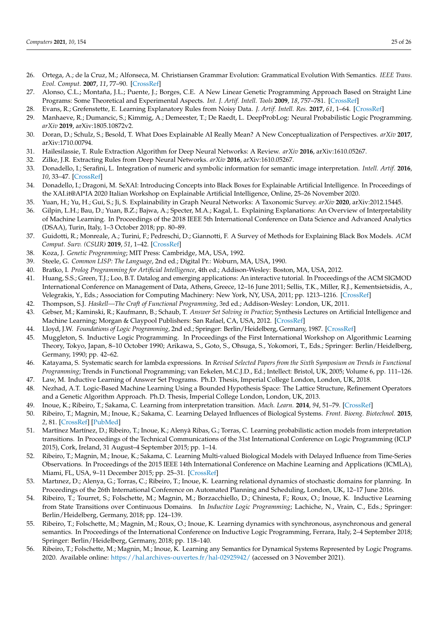- <span id="page-24-0"></span>26. Ortega, A.; de la Cruz, M.; Alfonseca, M. Christiansen Grammar Evolution: Grammatical Evolution With Semantics. *IEEE Trans. Evol. Comput.* **2007**, *11*, 77–90. [\[CrossRef\]](http://dx.doi.org/10.1109/TEVC.2006.880327)
- <span id="page-24-1"></span>27. Alonso, C.L.; Montaña, J.L.; Puente, J.; Borges, C.E. A New Linear Genetic Programming Approach Based on Straight Line Programs: Some Theoretical and Experimental Aspects. *Int. J. Artif. Intell. Tools* **2009**, *18*, 757–781. [\[CrossRef\]](http://dx.doi.org/10.1142/S0218213009000391)
- <span id="page-24-2"></span>28. Evans, R.; Grefenstette, E. Learning Explanatory Rules from Noisy Data. *J. Artif. Intell. Res.* **2017**, *61*, 1–64. [\[CrossRef\]](http://dx.doi.org/10.1613/jair.5714)
- <span id="page-24-3"></span>29. Manhaeve, R.; Dumancic, S.; Kimmig, A.; Demeester, T.; De Raedt, L. DeepProbLog: Neural Probabilistic Logic Programming. *arXiv* **2019**, arXiv:1805.10872v2.
- <span id="page-24-4"></span>30. Doran, D.; Schulz, S.; Besold, T. What Does Explainable AI Really Mean? A New Conceptualization of Perspectives. *arXiv* **2017**, arXiv:1710.00794.
- 31. Hailesilassie, T. Rule Extraction Algorithm for Deep Neural Networks: A Review. *arXiv* **2016**, arXiv:1610.05267.
- 32. Zilke, J.R. Extracting Rules from Deep Neural Networks. *arXiv* **2016**, arXiv:1610.05267.
- 33. Donadello, I.; Serafini, L. Integration of numeric and symbolic information for semantic image interpretation. *Intell. Artif.* **2016**, *10*, 33–47. [\[CrossRef\]](http://dx.doi.org/10.3233/IA-160093)
- <span id="page-24-5"></span>34. Donadello, I.; Dragoni, M. SeXAI: Introducing Concepts into Black Boxes for Explainable Artificial Intelligence. In Proceedings of the XAI.it@AI\*IA 2020 Italian Workshop on Explainable Artificial Intelligence, Online, 25–26 November 2020.
- <span id="page-24-6"></span>35. Yuan, H.; Yu, H.; Gui, S.; Ji, S. Explainability in Graph Neural Networks: A Taxonomic Survey. *arXiv* **2020**, arXiv:2012.15445.
- <span id="page-24-7"></span>36. Gilpin, L.H.; Bau, D.; Yuan, B.Z.; Bajwa, A.; Specter, M.A.; Kagal, L. Explaining Explanations: An Overview of Interpretability of Machine Learning. In Proceedings of the 2018 IEEE 5th International Conference on Data Science and Advanced Analytics (DSAA), Turin, Italy, 1–3 October 2018; pp. 80–89.
- <span id="page-24-8"></span>37. Guidotti, R.; Monreale, A.; Turini, F.; Pedreschi, D.; Giannotti, F. A Survey of Methods for Explaining Black Box Models. *ACM Comput. Surv. (CSUR)* **2019**, *51*, 1–42. [\[CrossRef\]](http://dx.doi.org/10.1145/3236009)
- <span id="page-24-9"></span>38. Koza, J. *Genetic Programming*; MIT Press: Cambridge, MA, USA, 1992.
- <span id="page-24-10"></span>39. Steele, G. *Common LISP: The Language*, 2nd ed.; Digital Pr.: Woburn, MA, USA, 1990.
- <span id="page-24-11"></span>40. Bratko, I. *Prolog Programming for Artificial Intelligence*, 4th ed.; Addison-Wesley: Boston, MA, USA, 2012.
- <span id="page-24-12"></span>41. Huang, S.S.; Green, T.J.; Loo, B.T. Datalog and emerging applications: An interactive tutorial. In Proceedings of the ACM SIGMOD International Conference on Management of Data, Athens, Greece, 12–16 June 2011; Sellis, T.K., Miller, R.J., Kementsietsidis, A., Velegrakis, Y., Eds.; Association for Computing Machinery: New York, NY, USA, 2011; pp. 1213–1216. [\[CrossRef\]](http://dx.doi.org/10.1145/1989323.1989456)
- <span id="page-24-13"></span>42. Thompson, S.J. *Haskell—The Craft of Functional Programming*, 3rd ed.; Addison-Wesley: London, UK, 2011.
- <span id="page-24-14"></span>43. Gebser, M.; Kaminski, R.; Kaufmann, B.; Schaub, T. *Answer Set Solving in Practice*; Synthesis Lectures on Artificial Intelligence and Machine Learning; Morgan & Claypool Publishers: San Rafael, CA, USA, 2012. [\[CrossRef\]](http://dx.doi.org/10.2200/S00457ED1V01Y201211AIM019)
- <span id="page-24-15"></span>44. Lloyd, J.W. *Foundations of Logic Programming*, 2nd ed.; Springer: Berlin/Heidelberg, Germany, 1987. [\[CrossRef\]](http://dx.doi.org/10.1007/978-3-642-83189-8)
- <span id="page-24-16"></span>45. Muggleton, S. Inductive Logic Programming. In Proceedings of the First International Workshop on Algorithmic Learning Theory, Tokyo, Japan, 8–10 October 1990; Arikawa, S., Goto, S., Ohsuga, S., Yokomori, T., Eds.; Springer: Berlin/Heidelberg, Germany, 1990; pp. 42–62.
- <span id="page-24-17"></span>46. Katayama, S. Systematic search for lambda expressions. In *Revised Selected Papers from the Sixth Symposium on Trends in Functional Programming*; Trends in Functional Programming; van Eekelen, M.C.J.D., Ed.; Intellect: Bristol, UK, 2005; Volume 6, pp. 111–126.
- <span id="page-24-18"></span>47. Law, M. Inductive Learning of Answer Set Programs. Ph.D. Thesis, Imperial College London, London, UK, 2018.
- <span id="page-24-19"></span>48. Nezhad, A.T. Logic-Based Machine Learning Using a Bounded Hypothesis Space: The Lattice Structure, Refinement Operators and a Genetic Algorithm Approach. Ph.D. Thesis, Imperial College London, London, UK, 2013.
- <span id="page-24-20"></span>49. Inoue, K.; Ribeiro, T.; Sakama, C. Learning from interpretation transition. *Mach. Learn.* **2014**, *94*, 51–79. [\[CrossRef\]](http://dx.doi.org/10.1007/s10994-013-5353-8)
- <span id="page-24-21"></span>50. Ribeiro, T.; Magnin, M.; Inoue, K.; Sakama, C. Learning Delayed Influences of Biological Systems. *Front. Bioeng. Biotechnol.* **2015**, *2*, 81. [\[CrossRef\]](http://dx.doi.org/10.3389/fbioe.2014.00081) [\[PubMed\]](http://www.ncbi.nlm.nih.gov/pubmed/25642421)
- <span id="page-24-22"></span>51. Martínez Martínez, D.; Ribeiro, T.; Inoue, K.; Alenyà Ribas, G.; Torras, C. Learning probabilistic action models from interpretation transitions. In Proceedings of the Technical Communications of the 31st International Conference on Logic Programming (ICLP 2015), Cork, Ireland, 31 August–4 September 2015; pp. 1–14.
- <span id="page-24-23"></span>52. Ribeiro, T.; Magnin, M.; Inoue, K.; Sakama, C. Learning Multi-valued Biological Models with Delayed Influence from Time-Series Observations. In Proceedings of the 2015 IEEE 14th International Conference on Machine Learning and Applications (ICMLA), Miami, FL, USA, 9–11 December 2015; pp. 25–31. [\[CrossRef\]](http://dx.doi.org/10.1109/ICMLA.2015.19)
- <span id="page-24-24"></span>53. Martınez, D.; Alenya, G.; Torras, C.; Ribeiro, T.; Inoue, K. Learning relational dynamics of stochastic domains for planning. In Proceedings of the 26th International Conference on Automated Planning and Scheduling, London, UK, 12–17 June 2016.
- <span id="page-24-25"></span>54. Ribeiro, T.; Tourret, S.; Folschette, M.; Magnin, M.; Borzacchiello, D.; Chinesta, F.; Roux, O.; Inoue, K. Inductive Learning from State Transitions over Continuous Domains. In *Inductive Logic Programming*; Lachiche, N., Vrain, C., Eds.; Springer: Berlin/Heidelberg, Germany, 2018; pp. 124–139.
- <span id="page-24-26"></span>55. Ribeiro, T.; Folschette, M.; Magnin, M.; Roux, O.; Inoue, K. Learning dynamics with synchronous, asynchronous and general semantics. In Proceedings of the International Conference on Inductive Logic Programming, Ferrara, Italy, 2–4 September 2018; Springer: Berlin/Heidelberg, Germany, 2018; pp. 118–140.
- <span id="page-24-27"></span>56. Ribeiro, T.; Folschette, M.; Magnin, M.; Inoue, K. Learning any Semantics for Dynamical Systems Represented by Logic Programs. 2020. Available online: <https://hal.archives-ouvertes.fr/hal-02925942/> (accessed on 3 November 2021).